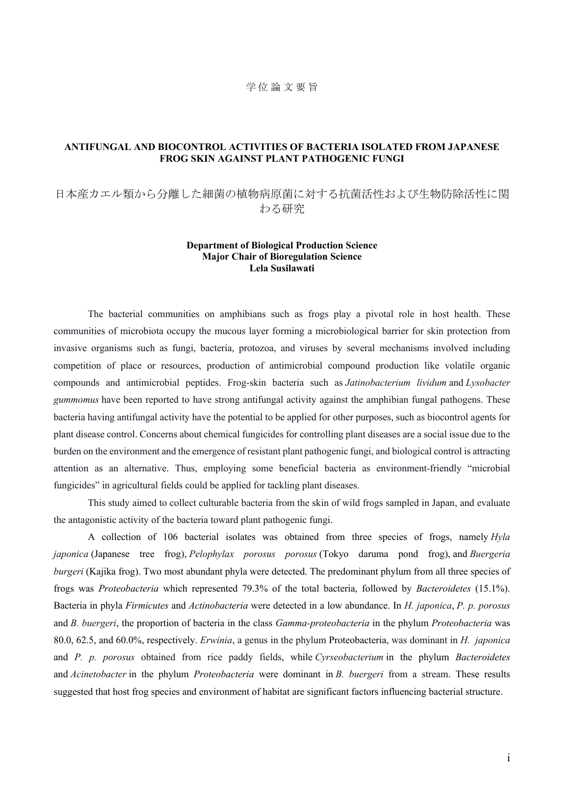## 学 位 論 文 要 旨

## **ANTIFUNGAL AND BIOCONTROL ACTIVITIES OF BACTERIA ISOLATED FROM JAPANESE FROG SKIN AGAINST PLANT PATHOGENIC FUNGI**

## 日本産カエル類から分離した細菌の植物病原菌に対する抗菌活性および生物防除活性に関 わる研究

## **Department of Biological Production Science Major Chair of Bioregulation Science Lela Susilawati**

The bacterial communities on amphibians such as frogs play a pivotal role in host health. These communities of microbiota occupy the mucous layer forming a microbiological barrier for skin protection from invasive organisms such as fungi, bacteria, protozoa, and viruses by several mechanisms involved including competition of place or resources, production of antimicrobial compound production like volatile organic compounds and antimicrobial peptides. Frog-skin bacteria such as *Jatinobacterium lividum* and *Lysobacter gummomus* have been reported to have strong antifungal activity against the amphibian fungal pathogens. These bacteria having antifungal activity have the potential to be applied for other purposes, such as biocontrol agents for plant disease control. Concerns about chemical fungicides for controlling plant diseases are a social issue due to the burden on the environment and the emergence of resistant plant pathogenic fungi, and biological control is attracting attention as an alternative. Thus, employing some beneficial bacteria as environment-friendly "microbial fungicides" in agricultural fields could be applied for tackling plant diseases.

This study aimed to collect culturable bacteria from the skin of wild frogs sampled in Japan, and evaluate the antagonistic activity of the bacteria toward plant pathogenic fungi.

A collection of 106 bacterial isolates was obtained from three species of frogs, namely *Hyla japonica* (Japanese tree frog), *Pelophylax porosus porosus* (Tokyo daruma pond frog), and *Buergeria burgeri* (Kajika frog). Two most abundant phyla were detected. The predominant phylum from all three species of frogs was *Proteobacteria* which represented 79.3% of the total bacteria, followed by *Bacteroidetes* (15.1%). Bacteria in phyla *Firmicutes* and *Actinobacteria* were detected in a low abundance. In *H. japonica*, *P. p. porosus* and *B. buergeri*, the proportion of bacteria in the class *Gamma-proteobacteria* in the phylum *Proteobacteria* was 80.0, 62.5, and 60.0%, respectively. *Erwinia*, a genus in the phylum Proteobacteria, was dominant in *H. japonica* and *P. p. porosus* obtained from rice paddy fields, while *Cyrseobacterium* in the phylum *Bacteroidetes* and *Acinetobacter* in the phylum *Proteobacteria* were dominant in *B. buergeri* from a stream. These results suggested that host frog species and environment of habitat are significant factors influencing bacterial structure.